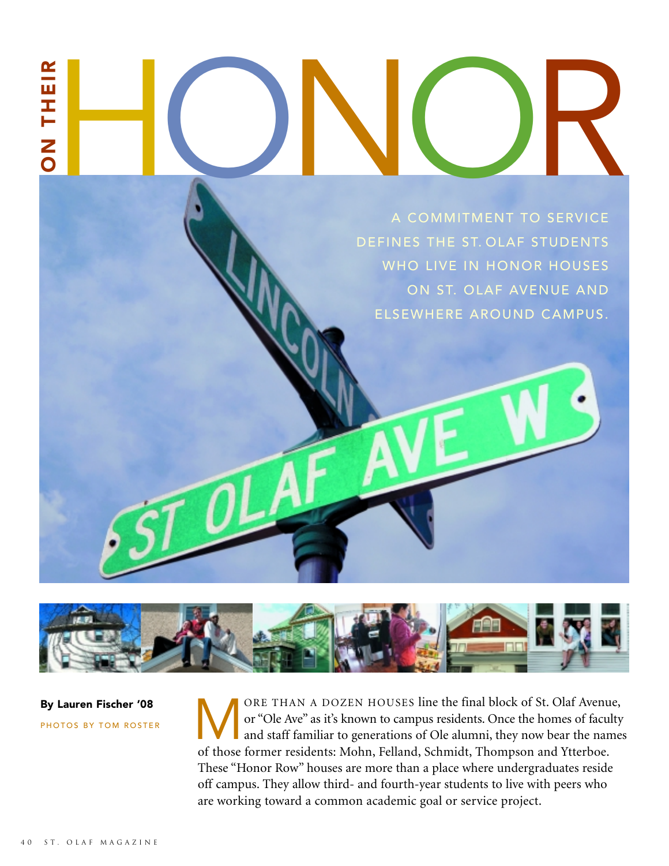# H ON THEIR ON COMMITMENT TO SERVICE

A COMMITMENT TO SERVICE DEFINES THE ST. OLAF STUDENTS WHO LIVE IN HONOR HOUSES ON ST. OLAF AVENUE AND ELSEWHERE AROUND CAMPUS.



By Lauren Fischer '08 PHOTOS BY TOM ROSTER ORE THAN A DOZEN HOUSES line the final block of St. Olaf Avenue,<br>or "Ole Ave" as it's known to campus residents. Once the homes of faculty<br>and staff familiar to generations of Ole alumni, they now bear the name<br>of those fo or "Ole Ave" as it's known to campus residents. Once the homes of faculty and staff familiar to generations of Ole alumni, they now bear the names of those former residents: Mohn, Felland, Schmidt, Thompson and Ytterboe. These "Honor Row" houses are more than a place where undergraduates reside off campus. They allow third- and fourth-year students to live with peers who are working toward a common academic goal or service project.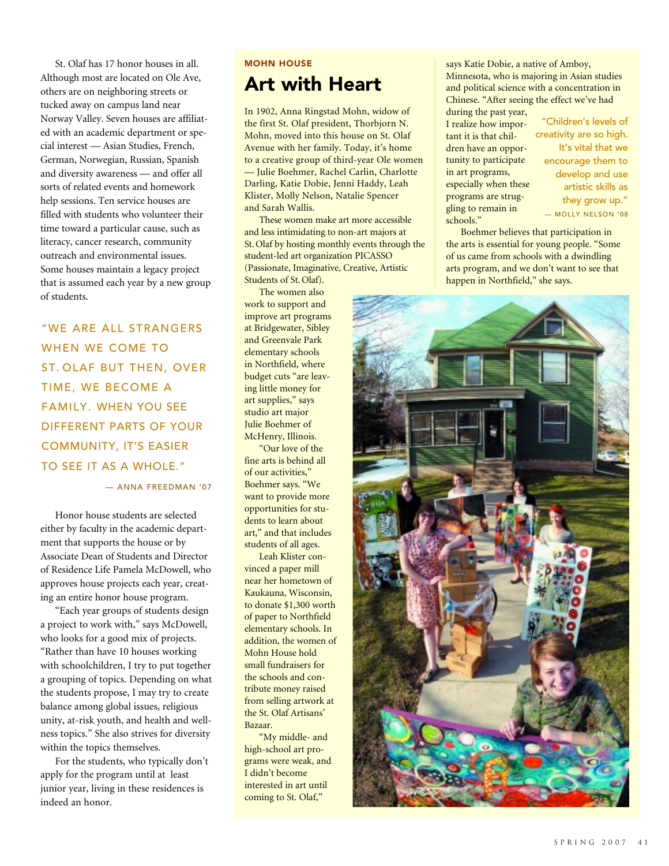St. Olaf has 17 honor houses in all. Although most are located on Ole Ave, others are on neighboring streets or tucked away on campus land near Norway Valley. Seven houses are affiliated with an academic department or special interest — Asian Studies, French, German, Norwegian, Russian, Spanish and diversity awareness — and offer all sorts of related events and homework help sessions. Ten service houses are filled with students who volunteer their time toward a particular cause, such as literacy, cancer research, community outreach and environmental issues. Some houses maintain a legacy project that is assumed each year by a new group of students.

"WE ARE ALL STRANGERS WHEN WE COME TO ST. OLAF BUT THEN, OVER TIME, WE BECOME A FAMILY. WHEN YOU SEE DIFFERENT PARTS OF YOUR COMMUNITY, IT'S EASIER TO SEE IT AS A WHOLE."

— ANNA FREEDMAN '07

Honor house students are selected either by faculty in the academic department that supports the house or by Associate Dean of Students and Director of Residence Life Pamela McDowell, who approves house projects each year, creating an entire honor house program.

"Each year groups of students design a project to work with," says McDowell, who looks for a good mix of projects. "Rather than have 10 houses working with schoolchildren, I try to put together a grouping of topics. Depending on what the students propose, I may try to create balance among global issues, religious unity, at-risk youth, and health and wellness topics." She also strives for diversity within the topics themselves.

For the students, who typically don't apply for the program until at least junior year, living in these residences is indeed an honor.

### MOHN HOUSE Art with Heart

In 1902, Anna Ringstad Mohn, widow of the first St. Olaf president, Thorbjorn N. Mohn, moved into this house on St. Olaf Avenue with her family. Today, it's home to a creative group of third-year Ole women — Julie Boehmer, Rachel Carlin, Charlotte Darling, Katie Dobie, Jenni Haddy, Leah Klister, Molly Nelson, Natalie Spencer and Sarah Wallis.

These women make art more accessible and less intimidating to non-art majors at St. Olaf by hosting monthly events through the student-led art organization PICASSO (Passionate, Imaginative, Creative, Artistic Students of St. Olaf).

The women also work to support and improve art programs at Bridgewater, Sibley and Greenvale Park elementary schools in Northfield, where budget cuts "are leaving little money for art supplies," says studio art major Julie Boehmer of McHenry, Illinois.

"Our love of the fine arts is behind all of our activities," Boehmer says. "We want to provide more opportunities for students to learn about art," and that includes students of all ages.

Leah Klister convinced a paper mill near her hometown of Kaukauna, Wisconsin, to donate \$1,300 worth of paper to Northfield elementary schools. In addition, the women of Mohn House hold small fundraisers for the schools and contribute money raised from selling artwork at the St. Olaf Artisans' Bazaar.

"My middle- and high-school art programs were weak, and I didn't become interested in art until coming to St. Olaf,"

says Katie Dobie, a native of Amboy, Minnesota, who is majoring in Asian studies and political science with a concentration in Chinese. "After seeing the effect we've had during the past year,

I realize how important it is that children have an opportunity to participate in art programs, especially when these programs are struggling to remain in schools."

"Children's levels of creativity are so high. It's vital that we encourage them to develop and use artistic skills as they grow up." — MOLLY NELSON '08

Boehmer believes that participation in the arts is essential for young people. "Some of us came from schools with a dwindling arts program, and we don't want to see that happen in Northfield," she says.

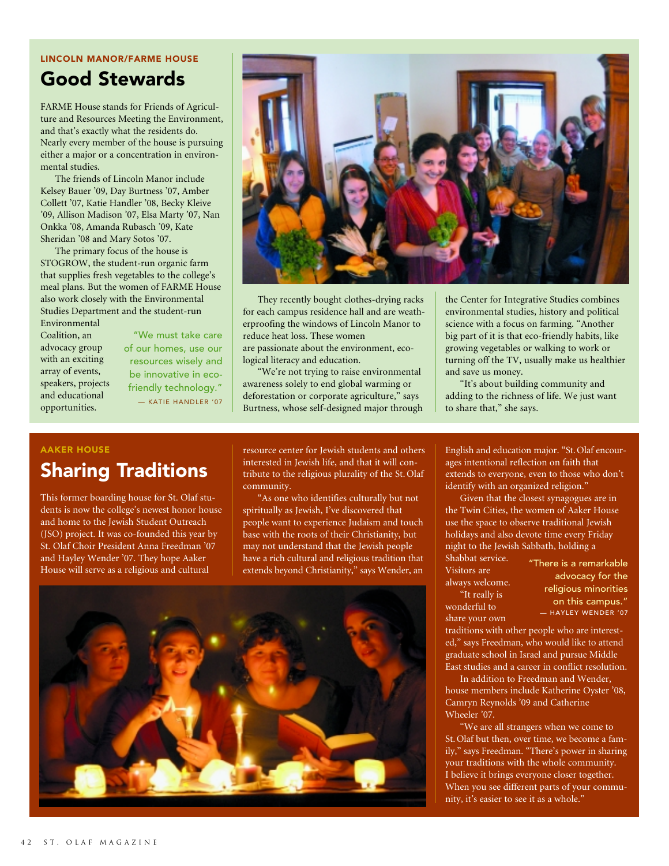#### LINCOLN MANOR/FARME HOUSE

## Good Stewards

FARME House stands for Friends of Agriculture and Resources Meeting the Environment, and that's exactly what the residents do. Nearly every member of the house is pursuing either a major or a concentration in environmental studies.

The friends of Lincoln Manor include Kelsey Bauer '09, Day Burtness '07, Amber Collett '07, Katie Handler '08, Becky Kleive '09, Allison Madison '07, Elsa Marty '07, Nan Onkka '08, Amanda Rubasch '09, Kate Sheridan '08 and Mary Sotos '07.

The primary focus of the house is STOGROW, the student-run organic farm that supplies fresh vegetables to the college's meal plans. But the women of FARME House also work closely with the Environmental Studies Department and the student-run Environmental

Coalition, an advocacy group with an exciting array of events, speakers, projects and educational opportunities.

"We must take care of our homes, use our resources wisely and be innovative in ecofriendly technology." — KATIE HANDLER '07



They recently bought clothes-drying racks for each campus residence hall and are weatherproofing the windows of Lincoln Manor to reduce heat loss. These women are passionate about the environment, ecological literacy and education.

"We're not trying to raise environmental awareness solely to end global warming or deforestation or corporate agriculture," says Burtness, whose self-designed major through

the Center for Integrative Studies combines environmental studies, history and political science with a focus on farming. "Another big part of it is that eco-friendly habits, like growing vegetables or walking to work or turning off the TV, usually make us healthier and save us money.

"It's about building community and adding to the richness of life. We just want to share that," she says.

#### AAKER HOUSE

## Sharing Traditions

This former boarding house for St. Olaf students is now the college's newest honor house and home to the Jewish Student Outreach (JSO) project. It was co-founded this year by St. Olaf Choir President Anna Freedman '07 and Hayley Wender '07. They hope Aaker House will serve as a religious and cultural

resource center for Jewish students and others interested in Jewish life, and that it will contribute to the religious plurality of the St. Olaf community.

"As one who identifies culturally but not spiritually as Jewish, I've discovered that people want to experience Judaism and touch base with the roots of their Christianity, but may not understand that the Jewish people have a rich cultural and religious tradition that extends beyond Christianity," says Wender, an



English and education major. "St. Olaf encourages intentional reflection on faith that extends to everyone, even to those who don't identify with an organized religion."

Given that the closest synagogues are in the Twin Cities, the women of Aaker House use the space to observe traditional Jewish holidays and also devote time every Friday night to the Jewish Sabbath, holding a Shabbat service.

Visitors are always welcome.

"It really is wonderful to share your own "There is a remarkable advocacy for the religious minorities on this campus." — HAYLEY WENDER '07

traditions with other people who are interested," says Freedman, who would like to attend graduate school in Israel and pursue Middle East studies and a career in conflict resolution.

In addition to Freedman and Wender, house members include Katherine Oyster '08, Camryn Reynolds '09 and Catherine Wheeler '07.

"We are all strangers when we come to St. Olaf but then, over time, we become a family," says Freedman. "There's power in sharing your traditions with the whole community. I believe it brings everyone closer together. When you see different parts of your community, it's easier to see it as a whole."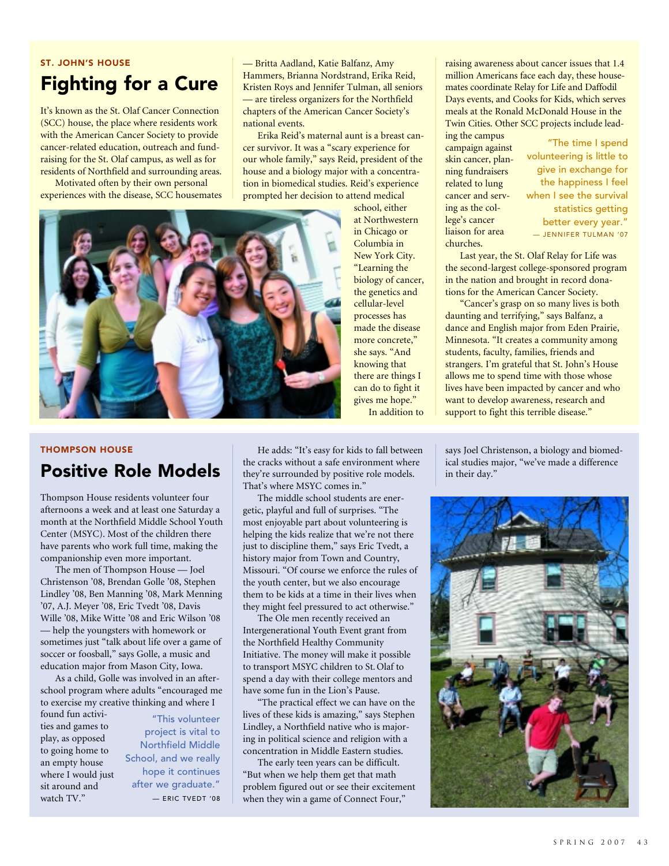## ST. JOHN'S HOUSE Fighting for a Cure

It's known as the St. Olaf Cancer Connection (SCC) house, the place where residents work with the American Cancer Society to provide cancer-related education, outreach and fundraising for the St. Olaf campus, as well as for residents of Northfield and surrounding areas.

Motivated often by their own personal experiences with the disease, SCC housemates — Britta Aadland, Katie Balfanz, Amy Hammers, Brianna Nordstrand, Erika Reid, Kristen Roys and Jennifer Tulman, all seniors — are tireless organizers for the Northfield chapters of the American Cancer Society's national events.

Erika Reid's maternal aunt is a breast cancer survivor. It was a "scary experience for our whole family," says Reid, president of the house and a biology major with a concentration in biomedical studies. Reid's experience prompted her decision to attend medical

> school, either at Northwestern in Chicago or Columbia in New York City. "Learning the biology of cancer, the genetics and cellular-level processes has made the disease more concrete," she says. "And knowing that there are things I can do to fight it gives me hope." In addition to

raising awareness about cancer issues that 1.4 million Americans face each day, these housemates coordinate Relay for Life and Daffodil Days events, and Cooks for Kids, which serves meals at the Ronald McDonald House in the Twin Cities. Other SCC projects include leading the campus

campaign against skin cancer, planning fundraisers related to lung cancer and serving as the college's cancer liaison for area churches.

"The time I spend volunteering is little to give in exchange for the happiness I feel when I see the survival statistics getting better every year." — JENNIFER TULMAN '07

Last year, the St. Olaf Relay for Life was the second-largest college-sponsored program in the nation and brought in record donations for the American Cancer Society.

"Cancer's grasp on so many lives is both daunting and terrifying," says Balfanz, a dance and English major from Eden Prairie, Minnesota. "It creates a community among students, faculty, families, friends and strangers. I'm grateful that St. John's House allows me to spend time with those whose lives have been impacted by cancer and who want to develop awareness, research and support to fight this terrible disease."

THOMPSON HOUSE

## Positive Role Models

Thompson House residents volunteer four afternoons a week and at least one Saturday a month at the Northfield Middle School Youth Center (MSYC). Most of the children there have parents who work full time, making the companionship even more important.

The men of Thompson House — Joel Christenson '08, Brendan Golle '08, Stephen Lindley '08, Ben Manning '08, Mark Menning '07, A.J. Meyer '08, Eric Tvedt '08, Davis Wille '08, Mike Witte '08 and Eric Wilson '08 — help the youngsters with homework or sometimes just "talk about life over a game of soccer or foosball," says Golle, a music and education major from Mason City, Iowa.

As a child, Golle was involved in an afterschool program where adults "encouraged me to exercise my creative thinking and where I

found fun activities and games to play, as opposed to going home to an empty house where I would just sit around and watch TV."

"This volunteer project is vital to Northfield Middle School, and we really hope it continues after we graduate." — ERIC TVEDT '08

He adds: "It's easy for kids to fall between the cracks without a safe environment where they're surrounded by positive role models. That's where MSYC comes in."

The middle school students are energetic, playful and full of surprises. "The most enjoyable part about volunteering is helping the kids realize that we're not there just to discipline them," says Eric Tvedt, a history major from Town and Country, Missouri. "Of course we enforce the rules of the youth center, but we also encourage them to be kids at a time in their lives when they might feel pressured to act otherwise."

The Ole men recently received an Intergenerational Youth Event grant from the Northfield Healthy Community Initiative. The money will make it possible to transport MSYC children to St. Olaf to spend a day with their college mentors and have some fun in the Lion's Pause.

"The practical effect we can have on the lives of these kids is amazing," says Stephen Lindley, a Northfield native who is majoring in political science and religion with a concentration in Middle Eastern studies.

The early teen years can be difficult. "But when we help them get that math problem figured out or see their excitement when they win a game of Connect Four,"

says Joel Christenson, a biology and biomedical studies major, "we've made a difference in their day."



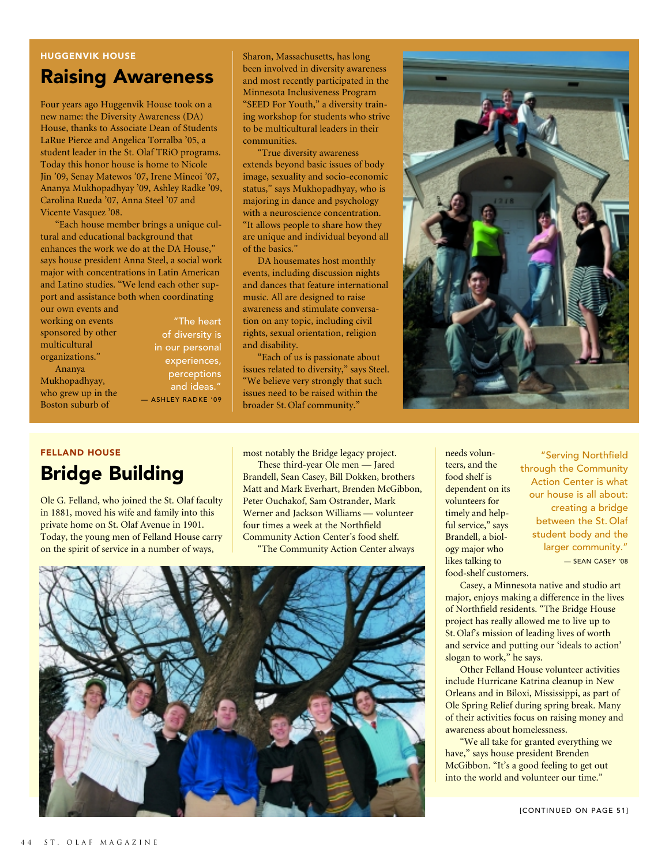#### HUGGENVIK HOUSE

## Raising Awareness

Four years ago Huggenvik House took on a new name: the Diversity Awareness (DA) House, thanks to Associate Dean of Students LaRue Pierce and Angelica Torralba '05, a student leader in the St. Olaf TRiO programs. Today this honor house is home to Nicole Jin '09, Senay Matewos '07, Irene Mineoi '07, Ananya Mukhopadhyay '09, Ashley Radke '09, Carolina Rueda '07, Anna Steel '07 and Vicente Vasquez '08.

"Each house member brings a unique cultural and educational background that enhances the work we do at the DA House," says house president Anna Steel, a social work major with concentrations in Latin American and Latino studies. "We lend each other support and assistance both when coordinating our own events and

working on events sponsored by other multicultural organizations." Ananya Mukhopadhyay, who grew up in the

Boston suburb of

"The heart of diversity is in our personal experiences, perceptions and ideas." — ASHLEY RADKE '09 Sharon, Massachusetts, has long been involved in diversity awareness and most recently participated in the Minnesota Inclusiveness Program "SEED For Youth," a diversity training workshop for students who strive to be multicultural leaders in their communities.

"True diversity awareness extends beyond basic issues of body image, sexuality and socio-economic status," says Mukhopadhyay, who is majoring in dance and psychology with a neuroscience concentration. "It allows people to share how they are unique and individual beyond all of the basics."

DA housemates host monthly events, including discussion nights and dances that feature international music. All are designed to raise awareness and stimulate conversation on any topic, including civil rights, sexual orientation, religion and disability.

"Each of us is passionate about issues related to diversity," says Steel. "We believe very strongly that such issues need to be raised within the broader St. Olaf community.'



### FELLAND HOUSE Bridge Building

Ole G. Felland, who joined the St. Olaf faculty in 1881, moved his wife and family into this private home on St. Olaf Avenue in 1901. Today, the young men of Felland House carry on the spirit of service in a number of ways,

most notably the Bridge legacy project.

These third-year Ole men — Jared Brandell, Sean Casey, Bill Dokken, brothers Matt and Mark Everhart, Brenden McGibbon, Peter Ouchakof, Sam Ostrander, Mark Werner and Jackson Williams — volunteer four times a week at the Northfield Community Action Center's food shelf. "The Community Action Center always



needs volunteers, and the food shelf is dependent on its volunteers for timely and helpful service," says Brandell, a biology major who likes talking to food-shelf customers.

"Serving Northfield through the Community Action Center is what our house is all about: creating a bridge between the St. Olaf student body and the larger community." — SEAN CASEY '08

Casey, a Minnesota native and studio art major, enjoys making a difference in the lives of Northfield residents. "The Bridge House project has really allowed me to live up to St. Olaf's mission of leading lives of worth and service and putting our 'ideals to action' slogan to work," he says.

Other Felland House volunteer activities include Hurricane Katrina cleanup in New Orleans and in Biloxi, Mississippi, as part of Ole Spring Relief during spring break. Many of their activities focus on raising money and awareness about homelessness.

"We all take for granted everything we have," says house president Brenden McGibbon. "It's a good feeling to get out into the world and volunteer our time."